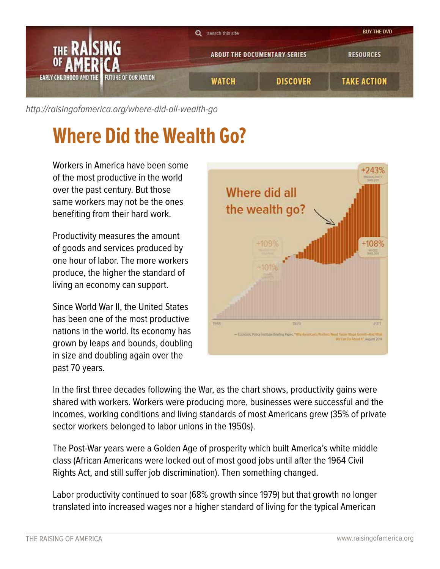

[http://raisingofamerica.org/](http://raisingofamerica.org/where-did-all-wealth-go)where-did-all-wealth-go

## **Where Did the Wealth Go?**

Workers in America have been some of the most productive in the world over the past century. But those same workers may not be the ones benefiting from their hard work.

Productivity measures the amount of goods and services produced by one hour of labor. The more workers produce, the higher the standard of living an economy can support.

Since World War II, the United States has been one of the most productive nations in the world. Its economy has grown by leaps and bounds, doubling in size and doubling again over the past 70 years.



In the first three decades following the War, as the chart shows, productivity gains were shared with workers. Workers were producing more, businesses were successful and the incomes, working conditions and living standards of most Americans grew (35% of private sector workers belonged to labor unions in the 1950s).

The Post-War years were a Golden Age of prosperity which built America's white middle class (African Americans were locked out of most good jobs until after the 1964 Civil Rights Act, and still suffer job discrimination). Then something changed.

Labor productivity continued to soar (68% growth since 1979) but that growth no longer translated into increased wages nor a higher standard of living for the typical American